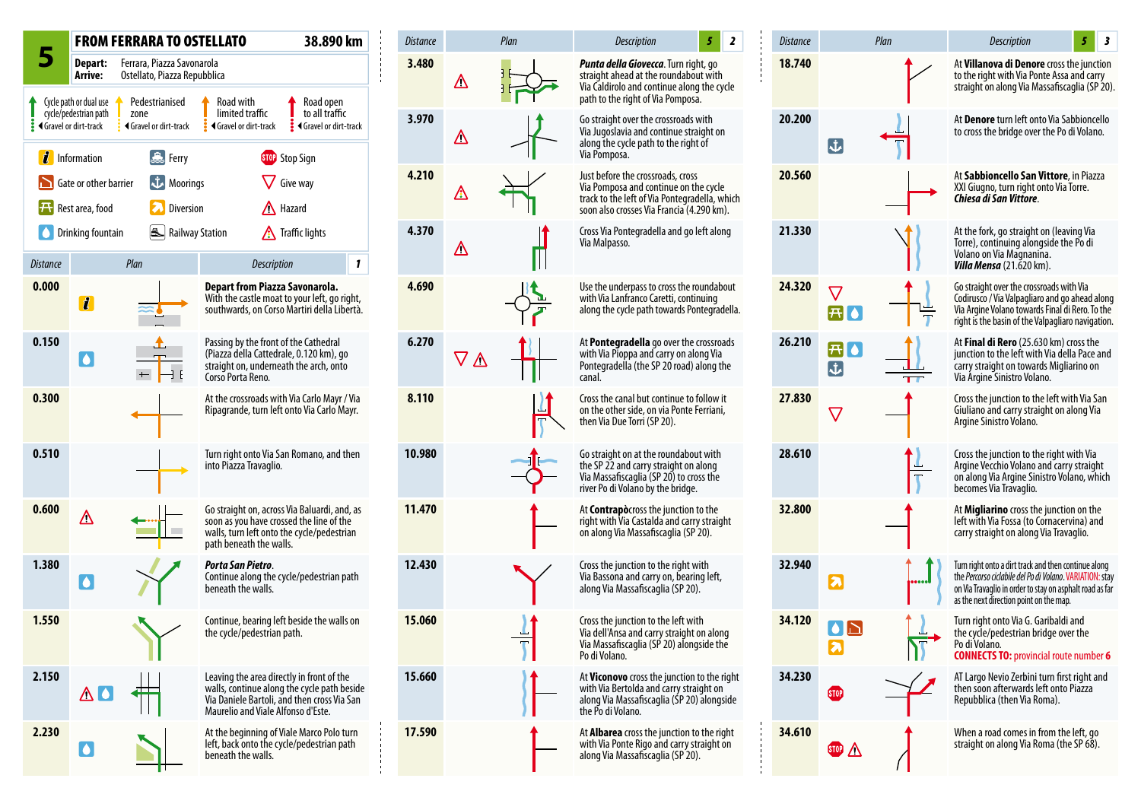

| <b>Distance</b> | Plan                   | $\overline{\mathbf{z}}$<br>Description<br>5                                                                                                                              | <b>Distance</b> |                                       | Plan | 3<br>Description<br>5                                                                                                                                                                                                   |
|-----------------|------------------------|--------------------------------------------------------------------------------------------------------------------------------------------------------------------------|-----------------|---------------------------------------|------|-------------------------------------------------------------------------------------------------------------------------------------------------------------------------------------------------------------------------|
| 3.480           | Δ                      | <b>Punta della Giovecca</b> . Turn right, go<br>straight ahead at the roundabout with<br>Via Caldirolo and continue along the cycle<br>path to the right of Via Pomposa. | 18.740          |                                       |      | At Villanova di Denore cross the junction<br>to the right with Via Ponte Assa and carry<br>straight on along Via Massafiscaglia (SP 20).                                                                                |
| 3.970           | $\Delta$               | Go straight over the crossroads with<br>Via Jugoslavia and continue straight on<br>along the cycle path to the right of<br>Via Pomposa.                                  | 20.200          | $\mathbf{\dot{J}}$                    |      | At Denore turn left onto Via Sabbioncello<br>to cross the bridge over the Po di Volano.                                                                                                                                 |
| 4.210           | ⚠                      | Just before the crossroads, cross<br>Via Pomposa and continue on the cycle<br>track to the left of Via Pontegradella, which<br>soon also crosses Via Francia (4.290 km). | 20.560          |                                       |      | At Sabbioncello San Vittore, in Piazza<br>XXI Giugno, turn right onto Via Torre.<br>Chiesa di San Vittore.                                                                                                              |
| 4.370           | Δ                      | Cross Via Pontegradella and go left along<br>Via Malpasso.                                                                                                               | 21.330          |                                       |      | At the fork, go straight on (leaving Via<br>Torre), continuing alongside the Po di<br>Volano on Via Magnanina.<br>Villa Mensa (21.620 km).                                                                              |
| 4.690           |                        | Use the underpass to cross the roundabout<br>with Via Lanfranco Caretti, continuing<br>along the cycle path towards Pontegradella.                                       | 24.320          | $\overline{\bm{\tau}}$                |      | Go straight over the crossroads with Via<br>Codirusco / Via Valpagliaro and go ahead along<br>Via Argine Volano towards Final di Rero. To the<br>right is the basin of the Valpagliaro navigation.                      |
| 6.270           | $\triangledown \Delta$ | At Pontegradella go over the crossroads<br>with Via Pioppa and carry on along Via<br>Pontegradella (the SP 20 road) along the<br>canal.                                  | 26.210          | $\left  \bm{\tau} \right $<br>16<br>む |      | At Final di Rero (25.630 km) cross the<br>junction to the left with Via della Pace and<br>carry straight on towards Migliarino on<br>Via Árgine Sinistro Volano.                                                        |
| 8.110           |                        | Cross the canal but continue to follow it<br>on the other side, on via Ponte Ferriani,<br>then Via Due Torri (SP 20).                                                    | 27.830          | $\bigtriangledown$                    |      | Cross the junction to the left with Via San<br>Giuliano and carry straight on along Via<br>Argine Sinistro Volano.                                                                                                      |
| 10.980          |                        | Go straight on at the roundabout with<br>the SP 22 and carry straight on along<br>Via Massafiscaglia (SP 20) to cross the<br>river Po di Volano by the bridge.           | 28.610          |                                       |      | Cross the junction to the right with Via<br>Argine Vecchio Volano and carry straight<br>on along Via Argine Sinistro Volano, which<br>becomes Via Travaglio.                                                            |
| 11.470          |                        | At Contrapòcross the junction to the<br>right with Via Castalda and carry straight<br>on along Via Massafiscaglia (SP 20).                                               | 32.800          |                                       |      | At <b>Migliarino</b> cross the junction on the<br>left with Via Fossa (to Cornacervina) and<br>carry straight on along Via Travaglio.                                                                                   |
| 12.430          |                        | Cross the junction to the right with<br>Via Bassona and carry on, bearing left,<br>along Via Massafiscaglia (SP 20).                                                     | 32.940          | F                                     | . U  | Turn right onto a dirt track and then continue along<br>the Percorso ciclabile del Po di Volano. VARIATION: stay<br>on Via Travaglio in order to stay on asphalt road as far<br>as the next direction point on the map. |
| 15.060          |                        | Cross the junction to the left with<br>Via dell'Ansa and carry straight on along<br>Via Massafiscaglia (SP 20) alongside the<br>Po di Volano.                            | 34.120          | $\blacktriangleright$                 |      | Turn right onto Via G. Garibaldi and<br>the cycle/pedestrian bridge over the<br>Po di Volano.<br><b>CONNECTS TO: provincial route number 6</b>                                                                          |
| 15.660          |                        | At Viconovo cross the junction to the right<br>with Via Bertolda and carry straight on<br>along Via Massafiscaglia (SP 20) alongside<br>the Po di Volano.                | 34.230          | <b>STOP</b>                           |      | AT Largo Nevio Zerbini turn first right and<br>then soon afterwards left onto Piazza<br>Repubblica (then Via Roma).                                                                                                     |
| 17.590          |                        | At <b>Albarea</b> cross the junction to the right<br>with Via Ponte Rigo and carry straight on<br>along Via Massafiscaglia (SP 20).                                      | 34.610          | $500 \triangle$                       |      | When a road comes in from the left, go<br>straight on along Via Roma (the SP 68).                                                                                                                                       |
|                 |                        |                                                                                                                                                                          |                 |                                       |      |                                                                                                                                                                                                                         |